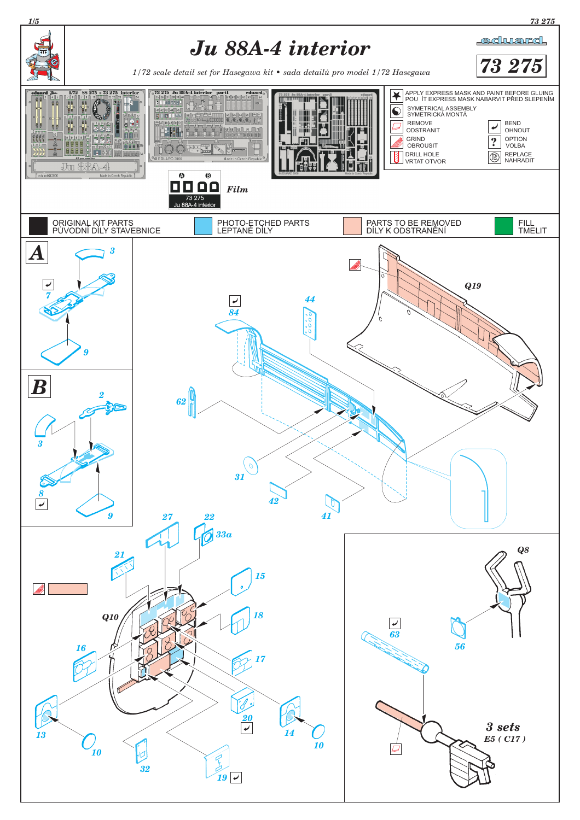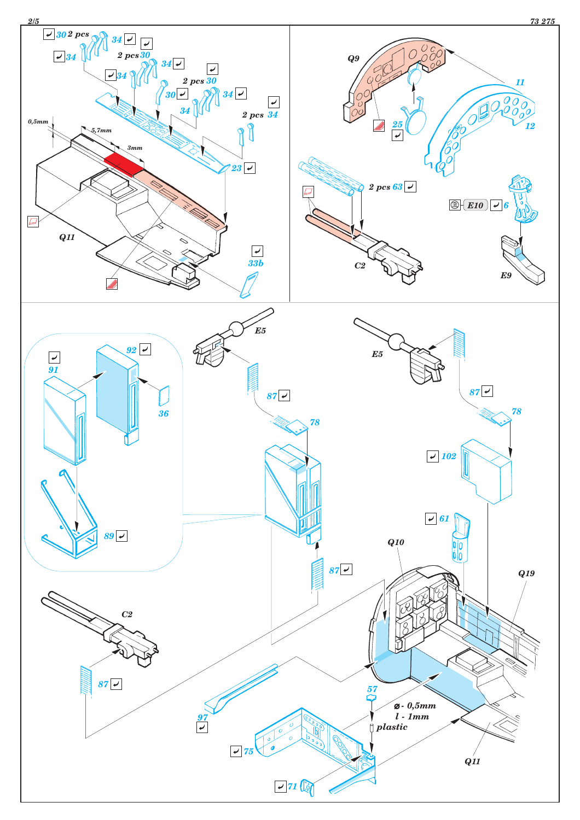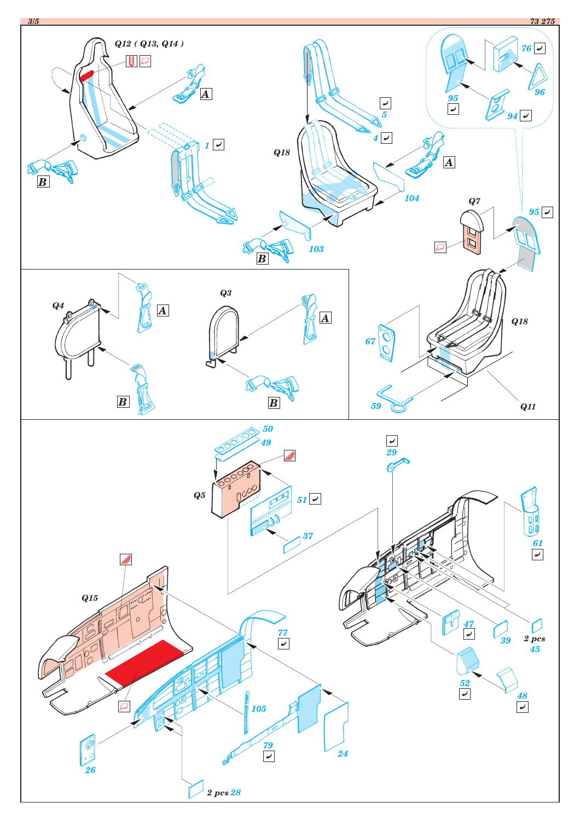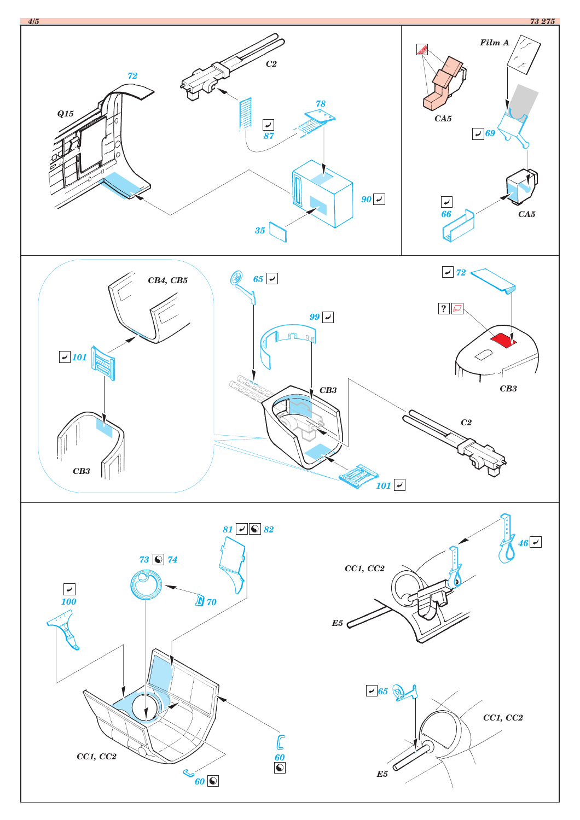